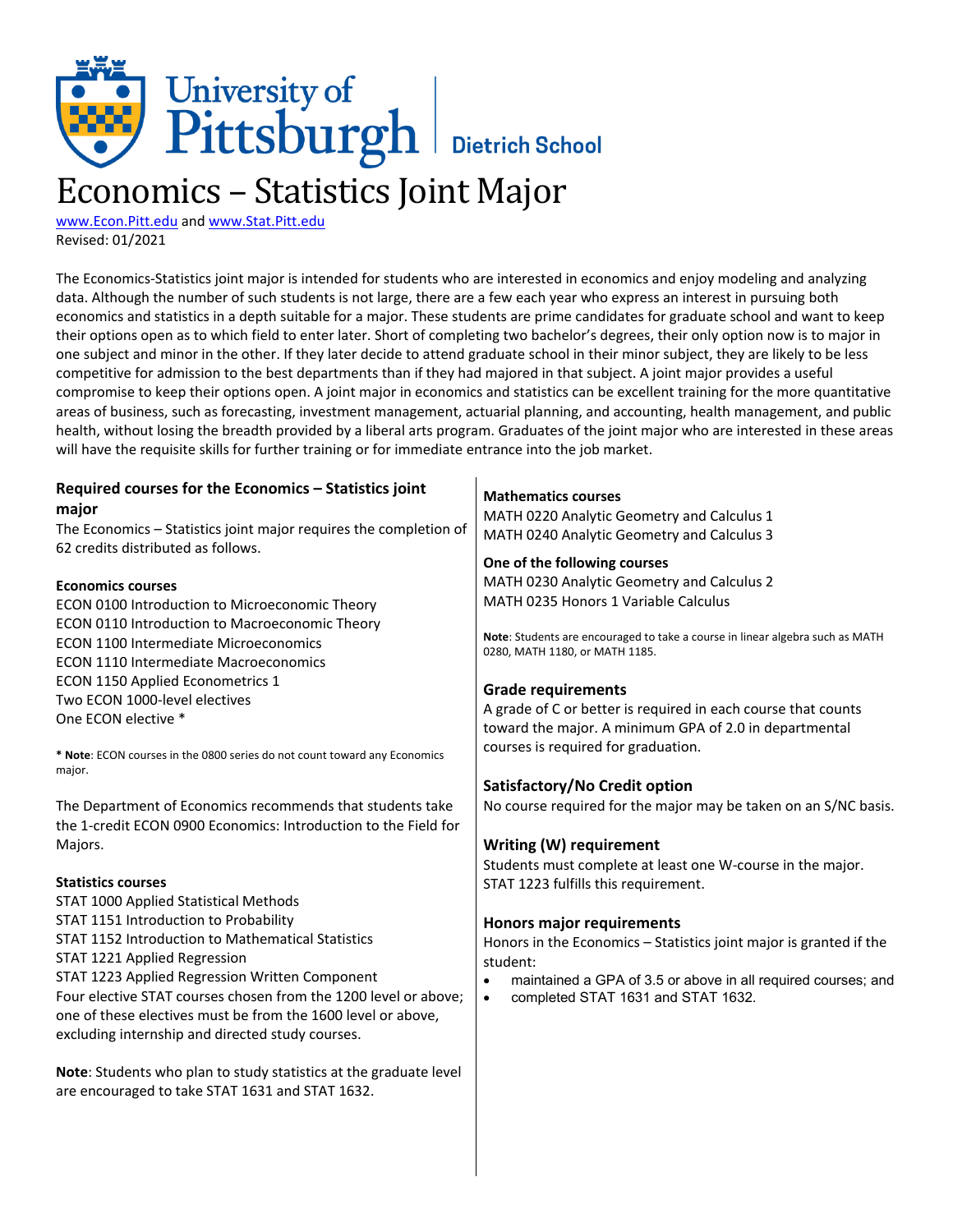# University of<br>Pittsburgh Bietrich School

## Economics – Statistics Joint Major

[www.Econ.Pitt.edu](http://www.econ.pitt.edu/) and [www.Stat.Pitt.edu](http://www.stat.pitt.edu/) Revised: 01/2021

The Economics-Statistics joint major is intended for students who are interested in economics and enjoy modeling and analyzing data. Although the number of such students is not large, there are a few each year who express an interest in pursuing both economics and statistics in a depth suitable for a major. These students are prime candidates for graduate school and want to keep their options open as to which field to enter later. Short of completing two bachelor's degrees, their only option now is to major in one subject and minor in the other. If they later decide to attend graduate school in their minor subject, they are likely to be less competitive for admission to the best departments than if they had majored in that subject. A joint major provides a useful compromise to keep their options open. A joint major in economics and statistics can be excellent training for the more quantitative areas of business, such as forecasting, investment management, actuarial planning, and accounting, health management, and public health, without losing the breadth provided by a liberal arts program. Graduates of the joint major who are interested in these areas will have the requisite skills for further training or for immediate entrance into the job market.

| Required courses for the Economics - Statistics joint                                                   | <b>Mathematics courses</b>                                                    |
|---------------------------------------------------------------------------------------------------------|-------------------------------------------------------------------------------|
| major                                                                                                   | MATH 0220 Analytic Geometry and Calculus 1                                    |
| The Economics - Statistics joint major requires the completion of<br>62 credits distributed as follows. | MATH 0240 Analytic Geometry and Calculus 3                                    |
|                                                                                                         | One of the following courses                                                  |
| <b>Economics courses</b>                                                                                | MATH 0230 Analytic Geometry and Calculus 2                                    |
|                                                                                                         | MATH 0235 Honors 1 Variable Calculus                                          |
| ECON 0100 Introduction to Microeconomic Theory<br>ECON 0110 Introduction to Macroeconomic Theory        |                                                                               |
| <b>ECON 1100 Intermediate Microeconomics</b>                                                            | Note: Students are encouraged to take a course in linear algebra such as MATH |
|                                                                                                         | 0280, MATH 1180, or MATH 1185.                                                |
| <b>ECON 1110 Intermediate Macroeconomics</b>                                                            |                                                                               |
| ECON 1150 Applied Econometrics 1                                                                        | <b>Grade requirements</b>                                                     |
| Two ECON 1000-level electives<br>One ECON elective *                                                    | A grade of C or better is required in each course that counts                 |
|                                                                                                         | toward the major. A minimum GPA of 2.0 in departmental                        |
| * Note: ECON courses in the 0800 series do not count toward any Economics<br>major.                     | courses is required for graduation.                                           |
|                                                                                                         | Satisfactory/No Credit option                                                 |
| The Department of Economics recommends that students take                                               | No course required for the major may be taken on an S/NC basis.               |
| the 1-credit ECON 0900 Economics: Introduction to the Field for                                         |                                                                               |
| Majors.                                                                                                 | Writing (W) requirement                                                       |
|                                                                                                         | Students must complete at least one W-course in the major.                    |
| <b>Statistics courses</b>                                                                               | STAT 1223 fulfills this requirement.                                          |
| STAT 1000 Applied Statistical Methods                                                                   |                                                                               |
| STAT 1151 Introduction to Probability                                                                   | <b>Honors major requirements</b>                                              |
| <b>STAT 1152 Introduction to Mathematical Statistics</b>                                                | Honors in the Economics - Statistics joint major is granted if the            |
| STAT 1221 Applied Regression                                                                            | student:                                                                      |
| STAT 1223 Applied Regression Written Component                                                          | maintained a GPA of 3.5 or above in all required courses; and<br>$\bullet$    |
| Four elective STAT courses chosen from the 1200 level or above;                                         | completed STAT 1631 and STAT 1632.<br>$\bullet$                               |
| one of these electives must be from the 1600 level or above,                                            |                                                                               |
| excluding internship and directed study courses.                                                        |                                                                               |
| Note: Students who plan to study statistics at the graduate level                                       |                                                                               |
| are encouraged to take STAT 1631 and STAT 1632.                                                         |                                                                               |